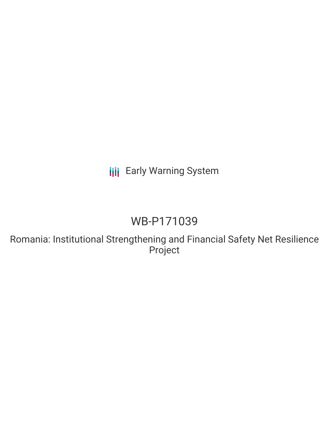# **III** Early Warning System

# WB-P171039

Romania: Institutional Strengthening and Financial Safety Net Resilience Project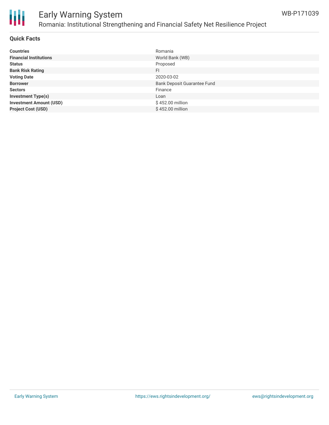

# Early Warning System Romania: Institutional Strengthening and Financial Safety Net Resilience Project

## **Quick Facts**

| <b>Countries</b>               | Romania                            |
|--------------------------------|------------------------------------|
| <b>Financial Institutions</b>  | World Bank (WB)                    |
| <b>Status</b>                  | Proposed                           |
| <b>Bank Risk Rating</b>        | FI                                 |
| <b>Voting Date</b>             | 2020-03-02                         |
| <b>Borrower</b>                | <b>Bank Deposit Guarantee Fund</b> |
| <b>Sectors</b>                 | Finance                            |
| <b>Investment Type(s)</b>      | Loan                               |
| <b>Investment Amount (USD)</b> | \$452.00 million                   |
| <b>Project Cost (USD)</b>      | \$452.00 million                   |

WB-P171039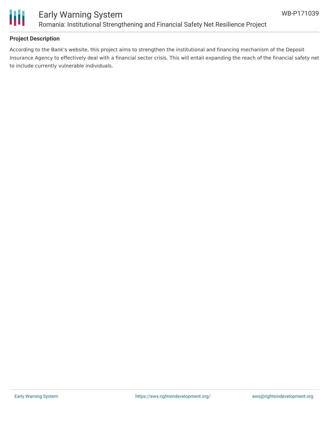

## Early Warning System Romania: Institutional Strengthening and Financial Safety Net Resilience Project

### **Project Description**

According to the Bank's website, this project aims to strengthen the institutional and financing mechanism of the Deposit Insurance Agency to effectively deal with a financial sector crisis. This will entail expanding the reach of the financial safety net to include currently vulnerable individuals.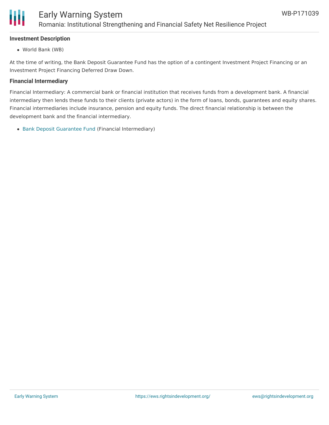

### **Investment Description**

World Bank (WB)

At the time of writing, the Bank Deposit Guarantee Fund has the option of a contingent Investment Project Financing or an Investment Project Financing Deferred Draw Down.

#### **Financial Intermediary**

Financial Intermediary: A commercial bank or financial institution that receives funds from a development bank. A financial intermediary then lends these funds to their clients (private actors) in the form of loans, bonds, guarantees and equity shares. Financial intermediaries include insurance, pension and equity funds. The direct financial relationship is between the development bank and the financial intermediary.

• Bank Deposit [Guarantee](file:///actor/2204/) Fund (Financial Intermediary)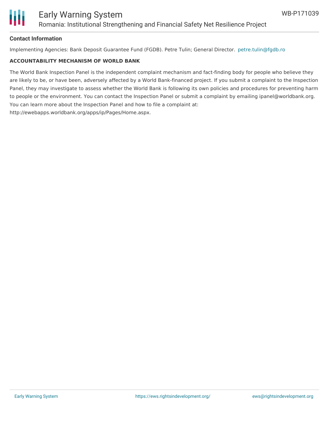

### **Contact Information**

Implementing Agencies: Bank Deposit Guarantee Fund (FGDB). Petre Tulin; General Director. [petre.tulin@fgdb.ro](mailto:petre.tulin@fgdb.ro)

#### **ACCOUNTABILITY MECHANISM OF WORLD BANK**

The World Bank Inspection Panel is the independent complaint mechanism and fact-finding body for people who believe they are likely to be, or have been, adversely affected by a World Bank-financed project. If you submit a complaint to the Inspection Panel, they may investigate to assess whether the World Bank is following its own policies and procedures for preventing harm to people or the environment. You can contact the Inspection Panel or submit a complaint by emailing ipanel@worldbank.org. You can learn more about the Inspection Panel and how to file a complaint at: http://ewebapps.worldbank.org/apps/ip/Pages/Home.aspx.